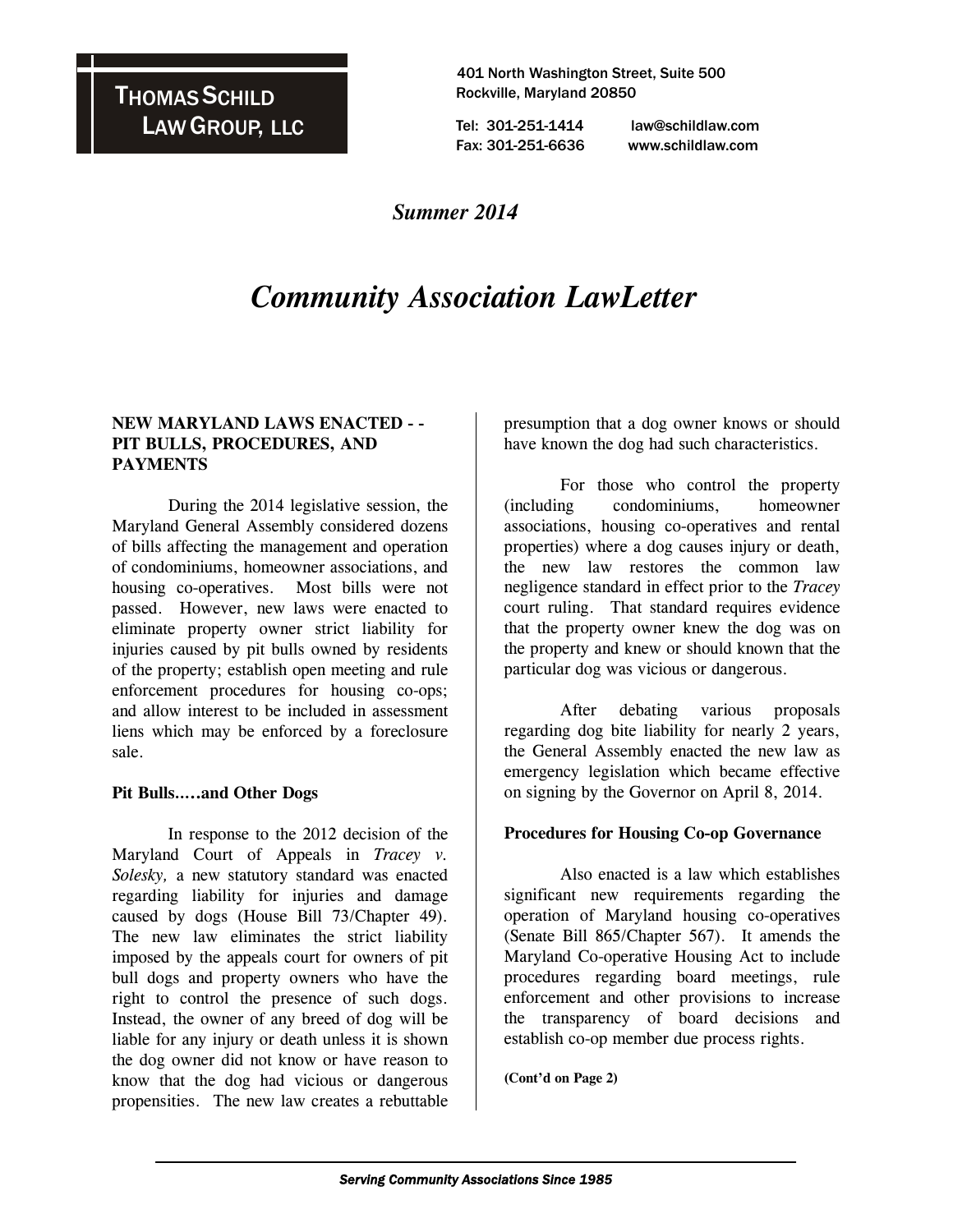THOMAS SCHILD LAW GROUP, LLC

 401 North Washington Street, Suite 500 Rockville, Maryland 20850

 Tel: 301-251-1414 law@schildlaw.com Fax: 301-251-6636 www.schildlaw.com

### *Summer 2014*

# *Community Association LawLetter*

#### **NEW MARYLAND LAWS ENACTED - - PIT BULLS, PROCEDURES, AND PAYMENTS**

 During the 2014 legislative session, the Maryland General Assembly considered dozens of bills affecting the management and operation of condominiums, homeowner associations, and housing co-operatives. Most bills were not passed. However, new laws were enacted to eliminate property owner strict liability for injuries caused by pit bulls owned by residents of the property; establish open meeting and rule enforcement procedures for housing co-ops; and allow interest to be included in assessment liens which may be enforced by a foreclosure sale.

#### **Pit Bulls…..and Other Dogs**

In response to the 2012 decision of the Maryland Court of Appeals in *Tracey v. Solesky,* a new statutory standard was enacted regarding liability for injuries and damage caused by dogs (House Bill 73/Chapter 49). The new law eliminates the strict liability imposed by the appeals court for owners of pit bull dogs and property owners who have the right to control the presence of such dogs. Instead, the owner of any breed of dog will be liable for any injury or death unless it is shown the dog owner did not know or have reason to know that the dog had vicious or dangerous propensities. The new law creates a rebuttable presumption that a dog owner knows or should have known the dog had such characteristics.

 For those who control the property (including condominiums, homeowner associations, housing co-operatives and rental properties) where a dog causes injury or death, the new law restores the common law negligence standard in effect prior to the *Tracey* court ruling. That standard requires evidence that the property owner knew the dog was on the property and knew or should known that the particular dog was vicious or dangerous.

 After debating various proposals regarding dog bite liability for nearly 2 years, the General Assembly enacted the new law as emergency legislation which became effective on signing by the Governor on April 8, 2014.

#### **Procedures for Housing Co-op Governance**

Also enacted is a law which establishes significant new requirements regarding the operation of Maryland housing co-operatives (Senate Bill 865/Chapter 567). It amends the Maryland Co-operative Housing Act to include procedures regarding board meetings, rule enforcement and other provisions to increase the transparency of board decisions and establish co-op member due process rights.

**(Cont'd on Page 2)**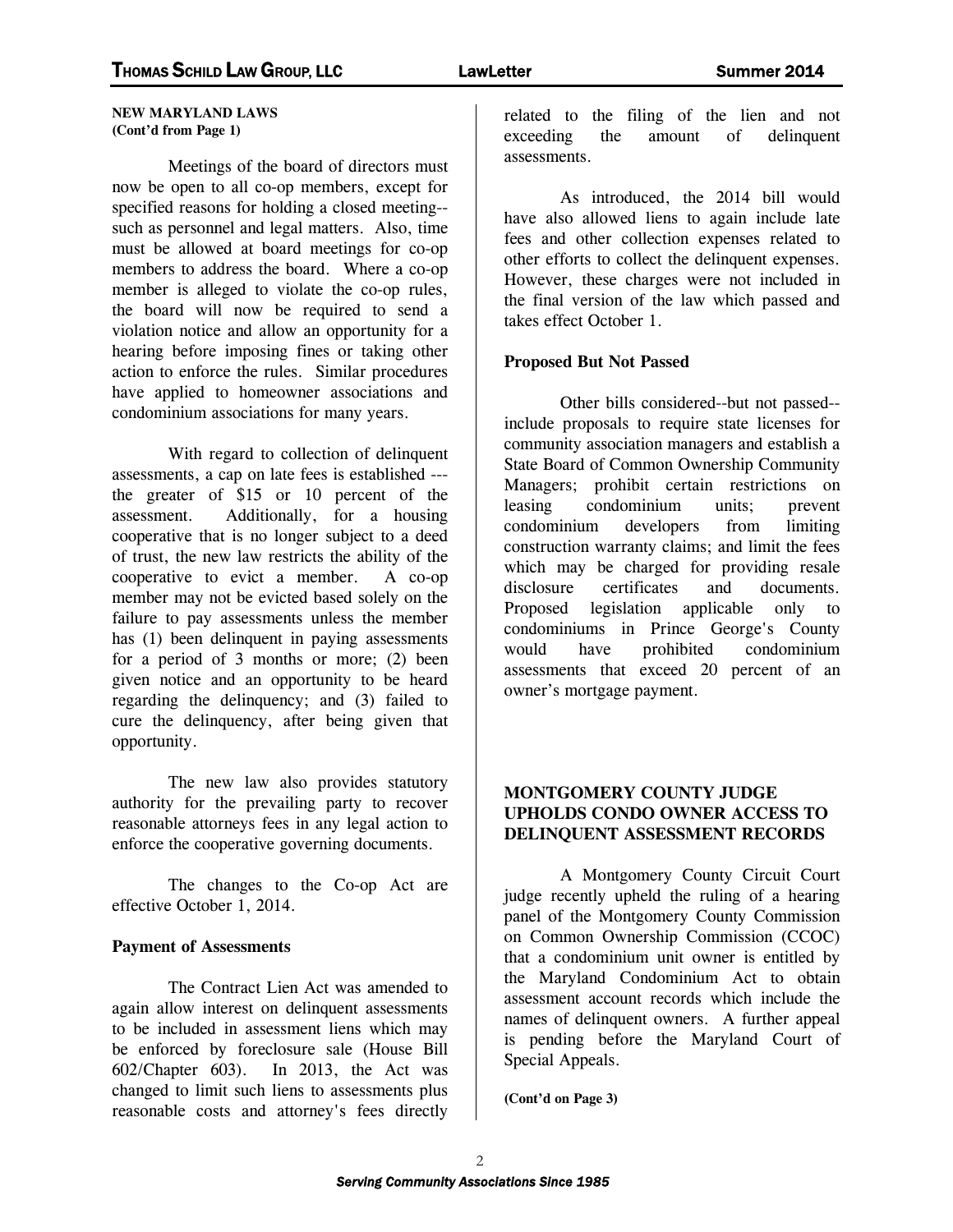#### **NEW MARYLAND LAWS (Cont'd from Page 1)**

 Meetings of the board of directors must now be open to all co-op members, except for specified reasons for holding a closed meeting- such as personnel and legal matters. Also, time must be allowed at board meetings for co-op members to address the board. Where a co-op member is alleged to violate the co-op rules, the board will now be required to send a violation notice and allow an opportunity for a hearing before imposing fines or taking other action to enforce the rules. Similar procedures have applied to homeowner associations and condominium associations for many years.

With regard to collection of delinquent assessments, a cap on late fees is established -- the greater of \$15 or 10 percent of the assessment. Additionally, for a housing cooperative that is no longer subject to a deed of trust, the new law restricts the ability of the cooperative to evict a member. A co-op member may not be evicted based solely on the failure to pay assessments unless the member has (1) been delinquent in paying assessments for a period of 3 months or more; (2) been given notice and an opportunity to be heard regarding the delinquency; and (3) failed to cure the delinquency, after being given that opportunity.

The new law also provides statutory authority for the prevailing party to recover reasonable attorneys fees in any legal action to enforce the cooperative governing documents.

 The changes to the Co-op Act are effective October 1, 2014.

#### **Payment of Assessments**

 The Contract Lien Act was amended to again allow interest on delinquent assessments to be included in assessment liens which may be enforced by foreclosure sale (House Bill 602/Chapter 603). In 2013, the Act was changed to limit such liens to assessments plus reasonable costs and attorney's fees directly

related to the filing of the lien and not exceeding the amount of delinquent assessments.

 As introduced, the 2014 bill would have also allowed liens to again include late fees and other collection expenses related to other efforts to collect the delinquent expenses. However, these charges were not included in the final version of the law which passed and takes effect October 1.

#### **Proposed But Not Passed**

 Other bills considered--but not passed- include proposals to require state licenses for community association managers and establish a State Board of Common Ownership Community Managers; prohibit certain restrictions on leasing condominium units; prevent condominium developers from limiting construction warranty claims; and limit the fees which may be charged for providing resale disclosure certificates and documents. Proposed legislation applicable only to condominiums in Prince George's County would have prohibited condominium assessments that exceed 20 percent of an owner's mortgage payment.

#### **MONTGOMERY COUNTY JUDGE UPHOLDS CONDO OWNER ACCESS TO DELINQUENT ASSESSMENT RECORDS**

 A Montgomery County Circuit Court judge recently upheld the ruling of a hearing panel of the Montgomery County Commission on Common Ownership Commission (CCOC) that a condominium unit owner is entitled by the Maryland Condominium Act to obtain assessment account records which include the names of delinquent owners. A further appeal is pending before the Maryland Court of Special Appeals.

**(Cont'd on Page 3)**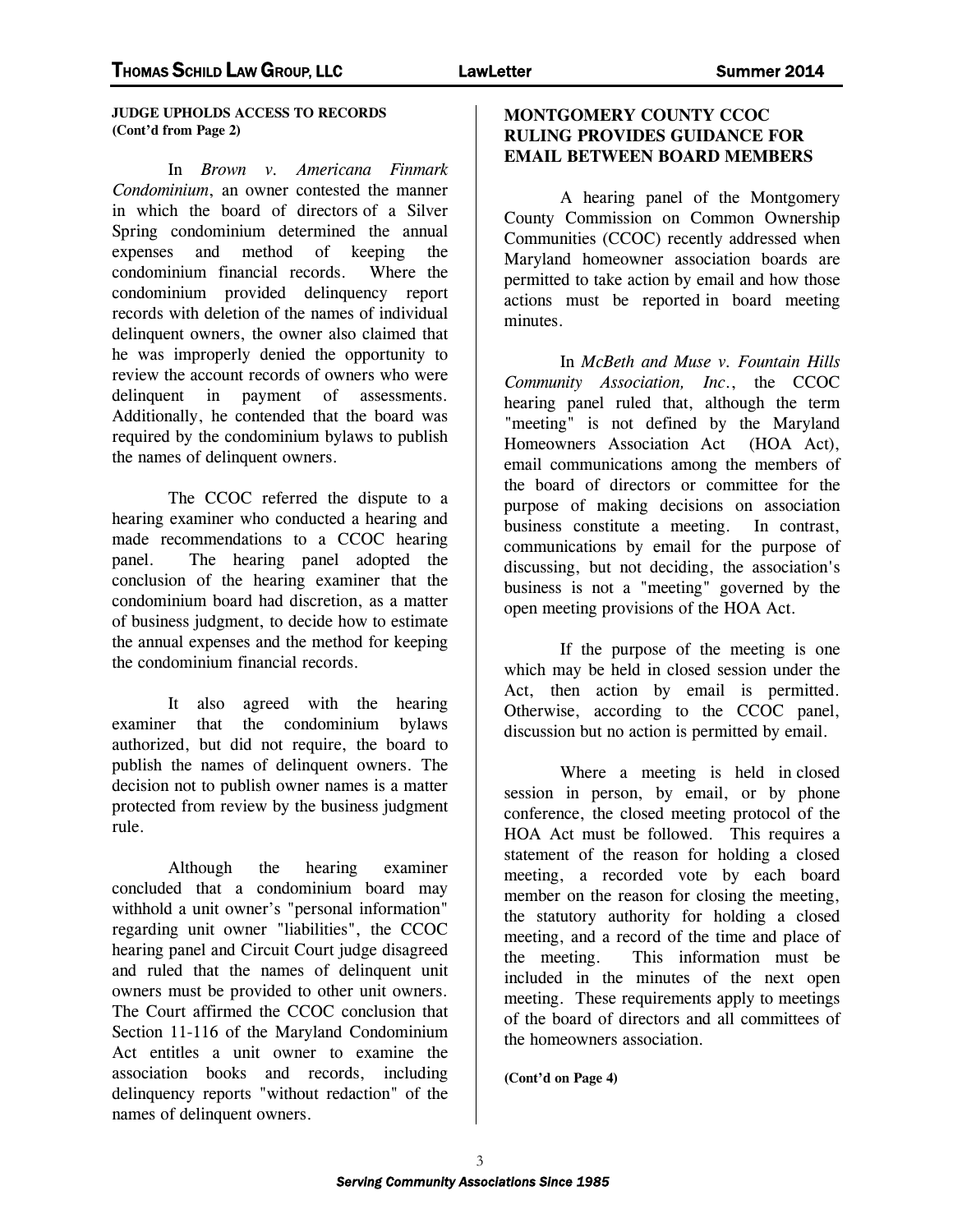**JUDGE UPHOLDS ACCESS TO RECORDS (Cont'd from Page 2)** 

 In *Brown v. Americana Finmark Condominium*, an owner contested the manner in which the board of directors of a Silver Spring condominium determined the annual expenses and method of keeping the condominium financial records. Where the condominium provided delinquency report records with deletion of the names of individual delinquent owners, the owner also claimed that he was improperly denied the opportunity to review the account records of owners who were delinquent in payment of assessments. Additionally, he contended that the board was required by the condominium bylaws to publish the names of delinquent owners.

 The CCOC referred the dispute to a hearing examiner who conducted a hearing and made recommendations to a CCOC hearing panel. The hearing panel adopted the conclusion of the hearing examiner that the condominium board had discretion, as a matter of business judgment, to decide how to estimate the annual expenses and the method for keeping the condominium financial records.

 It also agreed with the hearing examiner that the condominium bylaws authorized, but did not require, the board to publish the names of delinquent owners. The decision not to publish owner names is a matter protected from review by the business judgment rule.

 Although the hearing examiner concluded that a condominium board may withhold a unit owner's "personal information" regarding unit owner "liabilities", the CCOC hearing panel and Circuit Court judge disagreed and ruled that the names of delinquent unit owners must be provided to other unit owners. The Court affirmed the CCOC conclusion that Section 11-116 of the Maryland Condominium Act entitles a unit owner to examine the association books and records, including delinquency reports "without redaction" of the names of delinquent owners.

#### **MONTGOMERY COUNTY CCOC RULING PROVIDES GUIDANCE FOR EMAIL BETWEEN BOARD MEMBERS**

 A hearing panel of the Montgomery County Commission on Common Ownership Communities (CCOC) recently addressed when Maryland homeowner association boards are permitted to take action by email and how those actions must be reported in board meeting minutes.

 In *McBeth and Muse v. Fountain Hills Community Association, Inc*., the CCOC hearing panel ruled that, although the term "meeting" is not defined by the Maryland Homeowners Association Act (HOA Act), email communications among the members of the board of directors or committee for the purpose of making decisions on association business constitute a meeting. In contrast, communications by email for the purpose of discussing, but not deciding, the association's business is not a "meeting" governed by the open meeting provisions of the HOA Act.

 If the purpose of the meeting is one which may be held in closed session under the Act, then action by email is permitted. Otherwise, according to the CCOC panel, discussion but no action is permitted by email.

 Where a meeting is held in closed session in person, by email, or by phone conference, the closed meeting protocol of the HOA Act must be followed. This requires a statement of the reason for holding a closed meeting, a recorded vote by each board member on the reason for closing the meeting, the statutory authority for holding a closed meeting, and a record of the time and place of the meeting. This information must be included in the minutes of the next open meeting. These requirements apply to meetings of the board of directors and all committees of the homeowners association.

**(Cont'd on Page 4)**